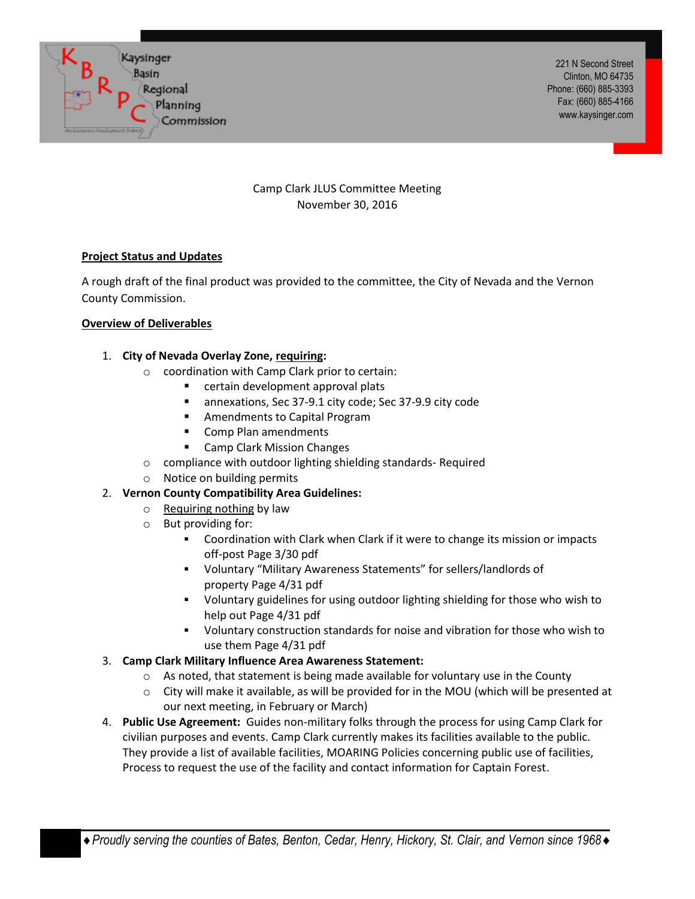

221 N Second Street Clinton, MO 64735 Phone: (660) 885-3393 Fax: (660) 885-4166 www.kaysinger.com

Camp Clark JLUS Committee Meeting November 30, 2016

## **Project Status and Updates**

A rough draft of the final product was provided to the committee, the City of Nevada and the Vernon County Commission.

## **Overview of Deliverables**

- 1. **City of Nevada Overlay Zone, requiring:**
	- o coordination with Camp Clark prior to certain:
		- **E** certain development approval plats
		- annexations, Sec 37-9.1 city code; Sec 37-9.9 city code
		- **EXEC** Amendments to Capital Program
		- Comp Plan amendments
		- **E** Camp Clark Mission Changes
	- o compliance with outdoor lighting shielding standards- Required
	- o Notice on building permits

# 2. **Vernon County Compatibility Area Guidelines:**

- o Requiring nothing by law
- o But providing for:
	- Coordination with Clark when Clark if it were to change its mission or impacts off-post Page 3/30 pdf
	- Voluntary "Military Awareness Statements" for sellers/landlords of property Page 4/31 pdf
	- Voluntary guidelines for using outdoor lighting shielding for those who wish to help out Page 4/31 pdf
	- Voluntary construction standards for noise and vibration for those who wish to use them Page 4/31 pdf

# 3. **Camp Clark Military Influence Area Awareness Statement:**

- $\circ$  As noted, that statement is being made available for voluntary use in the County
- $\circ$  City will make it available, as will be provided for in the MOU (which will be presented at our next meeting, in February or March)
- 4. **Public Use Agreement:** Guides non-military folks through the process for using Camp Clark for civilian purposes and events. Camp Clark currently makes its facilities available to the public. They provide a list of available facilities, MOARING Policies concerning public use of facilities, Process to request the use of the facility and contact information for Captain Forest.